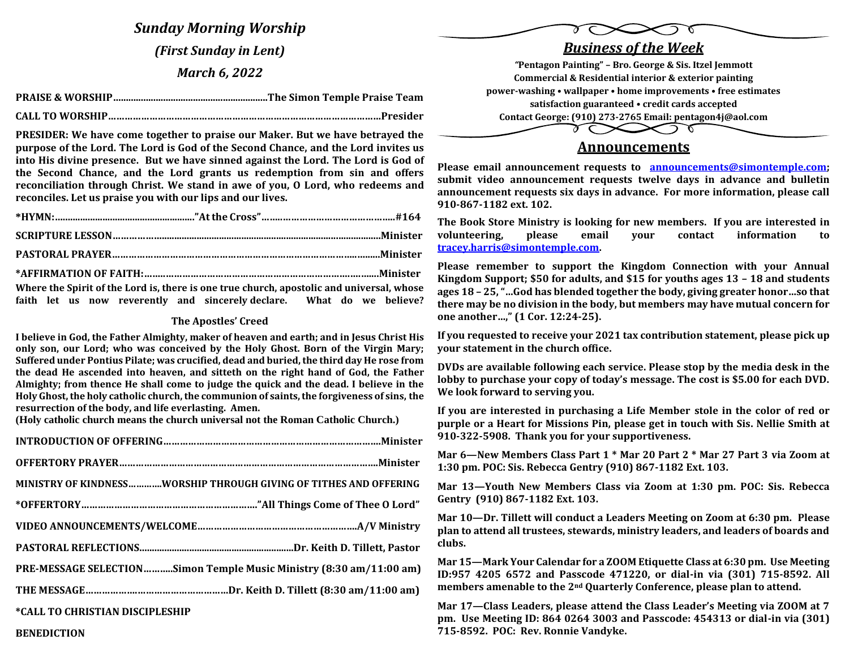*Sunday Morning Worship (First Sunday in Lent) March 6, 2022*

 **CALL TO WORSHIP………………………………………………………………………………………Presider**

**PRESIDER: We have come together to praise our Maker. But we have betrayed the purpose of the Lord. The Lord is God of the Second Chance, and the Lord invites us into His divine presence. But we have sinned against the Lord. The Lord is God of the Second Chance, and the Lord grants us redemption from sin and offers reconciliation through Christ. We stand in awe of you, O Lord, who redeems and reconciles. Let us praise you with our lips and our lives.**

| Where the Spirit of the Lord is, there is one true church, apostolic and universal, whose |
|-------------------------------------------------------------------------------------------|

**faith let us now reverently and sincerely declare. What do we believe?**

## **The Apostles' Creed**

**I believe in God, the Father Almighty, maker of heaven and earth; and in Jesus Christ His only son, our Lord; who was conceived by the Holy Ghost. Born of the Virgin Mary; Suffered under Pontius Pilate; was crucified, dead and buried, the third day He rose from the dead He ascended into heaven, and sitteth on the right hand of God, the Father Almighty; from thence He shall come to judge the quick and the dead. I believe in the Holy Ghost, the holy catholic church, the communion of saints, the forgiveness of sins, the resurrection of the body, and life everlasting. Amen.**

**(Holy catholic church means the church universal not the Roman Catholic Church.)**

| MINISTRY OF KINDNESSWORSHIP THROUGH GIVING OF TITHES AND OFFERING   |
|---------------------------------------------------------------------|
|                                                                     |
|                                                                     |
|                                                                     |
| PRE-MESSAGE SELECTIONSimon Temple Music Ministry (8:30 am/11:00 am) |
|                                                                     |
| *CALL TO CHRISTIAN DISCIPLESHIP                                     |





**Please email announcement requests to [announcements@simontemple.com;](mailto:announcements@simontemple.com) submit video announcement requests twelve days in advance and bulletin announcement requests six days in advance. For more information, please call 910-867-1182 ext. 102.** 

**The Book Store Ministry is looking for new members. If you are interested in volunteering, please email your contact information to [tracey.harris@simontemple.com.](mailto:tracey.harris@simontemple.com)** 

**Please remember to support the Kingdom Connection with your Annual Kingdom Support; \$50 for adults, and \$15 for youths ages 13 – 18 and students ages 18 – 25, "…God has blended together the body, giving greater honor…so that there may be no division in the body, but members may have mutual concern for one another…," (1 Cor. 12:24-25).** 

**If you requested to receive your 2021 tax contribution statement, please pick up your statement in the church office.** 

**DVDs are available following each service. Please stop by the media desk in the lobby to purchase your copy of today's message. The cost is \$5.00 for each DVD. We look forward to serving you.** 

**If you are interested in purchasing a Life Member stole in the color of red or purple or a Heart for Missions Pin, please get in touch with Sis. Nellie Smith at 910-322-5908. Thank you for your supportiveness.** 

**Mar 6—New Members Class Part 1 \* Mar 20 Part 2 \* Mar 27 Part 3 via Zoom at 1:30 pm. POC: Sis. Rebecca Gentry (910) 867-1182 Ext. 103.**

**Mar 13—Youth New Members Class via Zoom at 1:30 pm. POC: Sis. Rebecca Gentry (910) 867-1182 Ext. 103.**

**Mar 10—Dr. Tillett will conduct a Leaders Meeting on Zoom at 6:30 pm. Please plan to attend all trustees, stewards, ministry leaders, and leaders of boards and clubs.**

**Mar 15—Mark Your Calendar for a ZOOM Etiquette Class at 6:30 pm. Use Meeting ID:957 4205 6572 and Passcode 471220, or dial-in via (301) 715-8592. All members amenable to the 2nd Quarterly Conference, please plan to attend.** 

**Mar 17—Class Leaders, please attend the Class Leader's Meeting via ZOOM at 7 pm. Use Meeting ID: 864 0264 3003 and Passcode: 454313 or dial-in via (301) 715-8592. POC: Rev. Ronnie Vandyke.** 

#### **BENEDICTION**